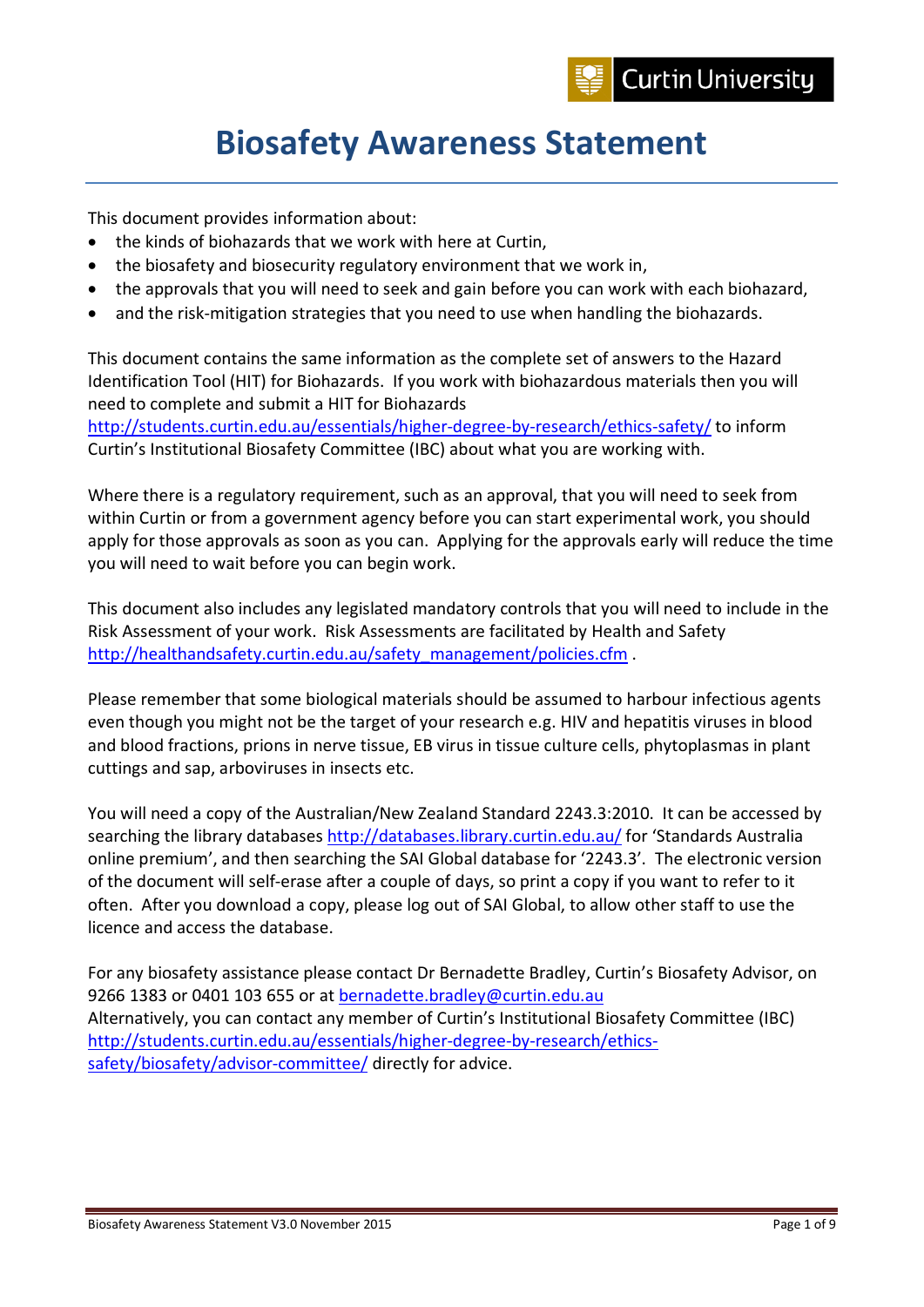

# **Biosafety Awareness Statement**

This document provides information about:

- the kinds of biohazards that we work with here at Curtin,
- the biosafety and biosecurity regulatory environment that we work in,
- the approvals that you will need to seek and gain before you can work with each biohazard,
- and the risk-mitigation strategies that you need to use when handling the biohazards.

This document contains the same information as the complete set of answers to the Hazard Identification Tool (HIT) for Biohazards. If you work with biohazardous materials then you will need to complete and submit a HIT for Biohazards

<http://students.curtin.edu.au/essentials/higher-degree-by-research/ethics-safety/> to inform Curtin's Institutional Biosafety Committee (IBC) about what you are working with.

Where there is a regulatory requirement, such as an approval, that you will need to seek from within Curtin or from a government agency before you can start experimental work, you should apply for those approvals as soon as you can. Applying for the approvals early will reduce the time you will need to wait before you can begin work.

This document also includes any legislated mandatory controls that you will need to include in the Risk Assessment of your work. Risk Assessments are facilitated by Health and Safety [http://healthandsafety.curtin.edu.au/safety\\_management/policies.cfm](http://healthandsafety.curtin.edu.au/safety_management/policies.cfm) .

Please remember that some biological materials should be assumed to harbour infectious agents even though you might not be the target of your research e.g. HIV and hepatitis viruses in blood and blood fractions, prions in nerve tissue, EB virus in tissue culture cells, phytoplasmas in plant cuttings and sap, arboviruses in insects etc.

You will need a copy of the Australian/New Zealand Standard 2243.3:2010. It can be accessed by searching the library databases<http://databases.library.curtin.edu.au/> for 'Standards Australia online premium', and then searching the SAI Global database for '2243.3'. The electronic version of the document will self-erase after a couple of days, so print a copy if you want to refer to it often. After you download a copy, please log out of SAI Global, to allow other staff to use the licence and access the database.

For any biosafety assistance please contact Dr Bernadette Bradley, Curtin's Biosafety Advisor, on 9266 1383 or 0401 103 655 or at [bernadette.bradley@curtin.edu.au](mailto:bernadette.bradley@curtin.edu.au)  Alternatively, you can contact any member of Curtin's Institutional Biosafety Committee (IBC) [http://students.curtin.edu.au/essentials/higher-degree-by-research/ethics](http://students.curtin.edu.au/essentials/higher-degree-by-research/ethics-safety/biosafety/advisor-committee/)[safety/biosafety/advisor-committee/](http://students.curtin.edu.au/essentials/higher-degree-by-research/ethics-safety/biosafety/advisor-committee/) directly for advice.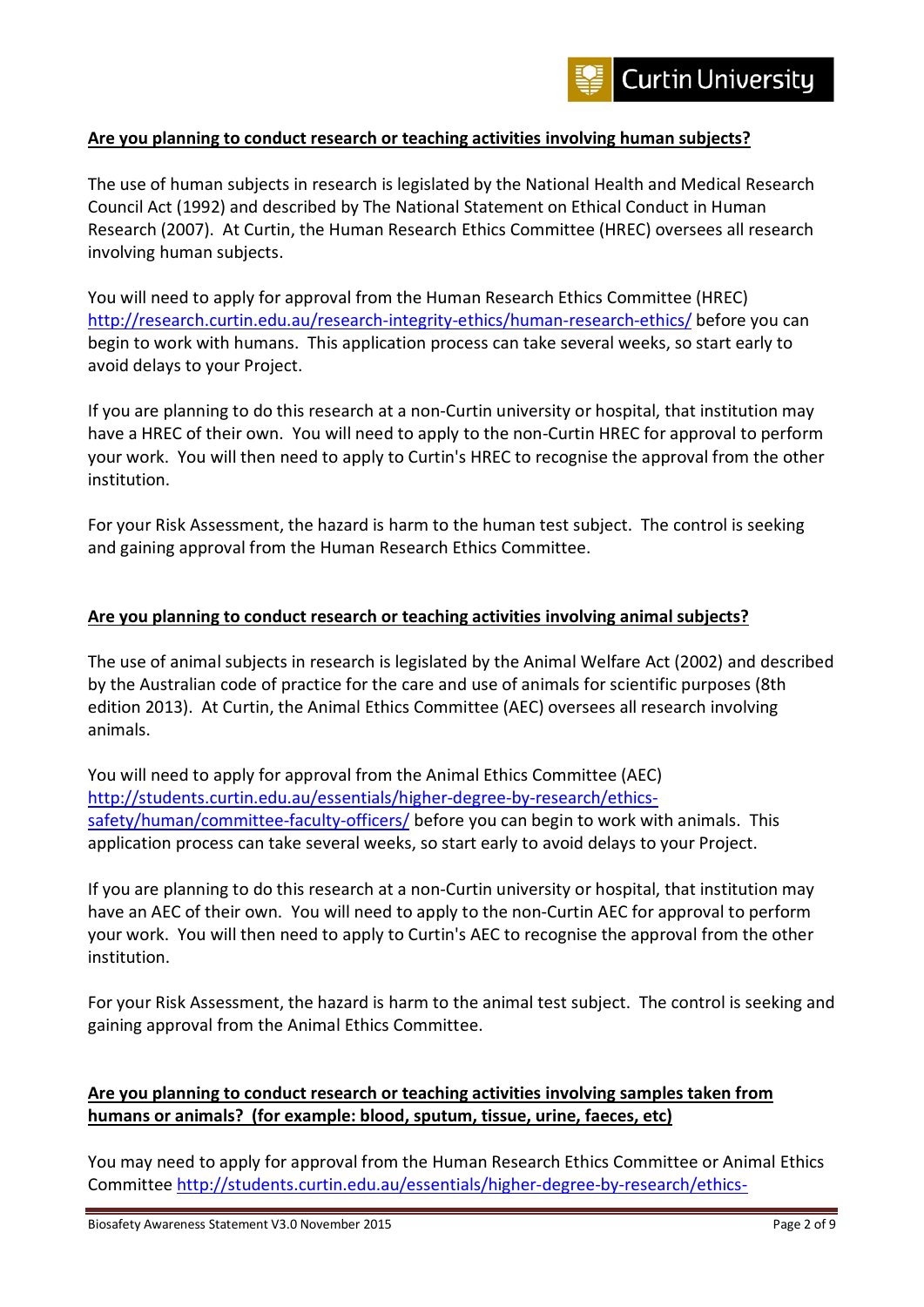

#### **Are you planning to conduct research or teaching activities involving human subjects?**

The use of human subjects in research is legislated by the National Health and Medical Research Council Act (1992) and described by The National Statement on Ethical Conduct in Human Research (2007). At Curtin, the Human Research Ethics Committee (HREC) oversees all research involving human subjects.

You will need to apply for approval from the Human Research Ethics Committee (HREC) <http://research.curtin.edu.au/research-integrity-ethics/human-research-ethics/> before you can begin to work with humans. This application process can take several weeks, so start early to avoid delays to your Project.

If you are planning to do this research at a non-Curtin university or hospital, that institution may have a HREC of their own. You will need to apply to the non-Curtin HREC for approval to perform your work. You will then need to apply to Curtin's HREC to recognise the approval from the other institution.

For your Risk Assessment, the hazard is harm to the human test subject. The control is seeking and gaining approval from the Human Research Ethics Committee.

#### **Are you planning to conduct research or teaching activities involving animal subjects?**

The use of animal subjects in research is legislated by the Animal Welfare Act (2002) and described by the Australian code of practice for the care and use of animals for scientific purposes (8th edition 2013). At Curtin, the Animal Ethics Committee (AEC) oversees all research involving animals.

You will need to apply for approval from the Animal Ethics Committee (AEC) [http://students.curtin.edu.au/essentials/higher-degree-by-research/ethics](http://students.curtin.edu.au/essentials/higher-degree-by-research/ethics-safety/human/committee-faculty-officers/)[safety/human/committee-faculty-officers/](http://students.curtin.edu.au/essentials/higher-degree-by-research/ethics-safety/human/committee-faculty-officers/) before you can begin to work with animals. This application process can take several weeks, so start early to avoid delays to your Project.

If you are planning to do this research at a non-Curtin university or hospital, that institution may have an AEC of their own. You will need to apply to the non-Curtin AEC for approval to perform your work. You will then need to apply to Curtin's AEC to recognise the approval from the other institution.

For your Risk Assessment, the hazard is harm to the animal test subject. The control is seeking and gaining approval from the Animal Ethics Committee.

#### **Are you planning to conduct research or teaching activities involving samples taken from humans or animals? (for example: blood, sputum, tissue, urine, faeces, etc)**

You may need to apply for approval from the Human Research Ethics Committee or Animal Ethics Committee [http://students.curtin.edu.au/essentials/higher-degree-by-research/ethics-](http://students.curtin.edu.au/essentials/higher-degree-by-research/ethics-safety/human/committee-faculty-officers/)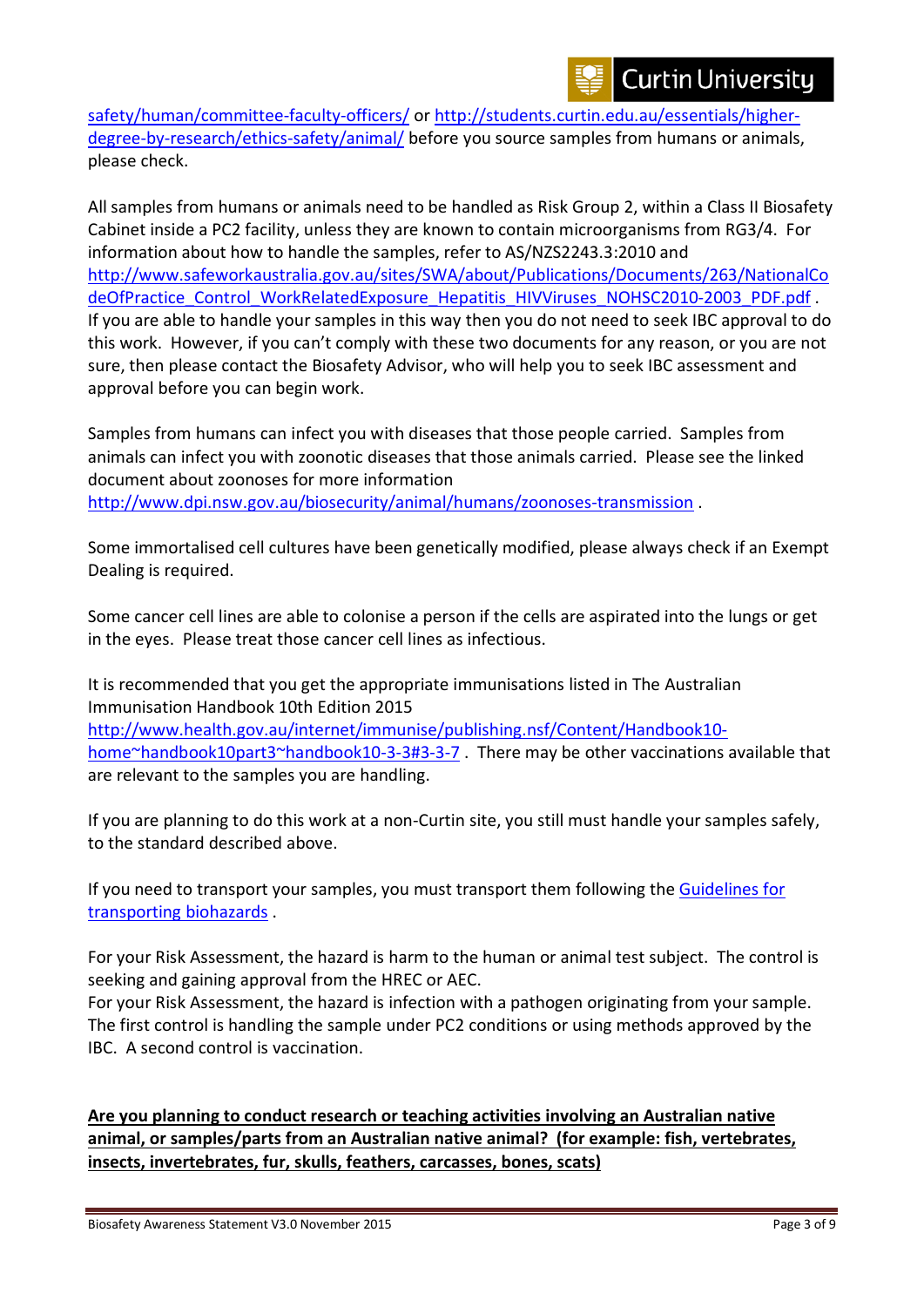

[safety/human/committee-faculty-officers/](http://students.curtin.edu.au/essentials/higher-degree-by-research/ethics-safety/human/committee-faculty-officers/) or [http://students.curtin.edu.au/essentials/higher](http://students.curtin.edu.au/essentials/higher-degree-by-research/ethics-safety/animal/)[degree-by-research/ethics-safety/animal/](http://students.curtin.edu.au/essentials/higher-degree-by-research/ethics-safety/animal/) before you source samples from humans or animals, please check.

All samples from humans or animals need to be handled as Risk Group 2, within a Class II Biosafety Cabinet inside a PC2 facility, unless they are known to contain microorganisms from RG3/4. For information about how to handle the samples, refer to AS/NZS2243.3:2010 and [http://www.safeworkaustralia.gov.au/sites/SWA/about/Publications/Documents/263/NationalCo](http://www.safeworkaustralia.gov.au/sites/SWA/about/Publications/Documents/263/NationalCodeOfPractice_Control_WorkRelatedExposure_Hepatitis_HIVViruses_NOHSC2010-2003_PDF.pdf) deOfPractice Control WorkRelatedExposure Hepatitis\_HIVViruses\_NOHSC2010-2003\_PDF.pdf . If you are able to handle your samples in this way then you do not need to seek IBC approval to do this work. However, if you can't comply with these two documents for any reason, or you are not sure, then please contact the Biosafety Advisor, who will help you to seek IBC assessment and approval before you can begin work.

Samples from humans can infect you with diseases that those people carried. Samples from animals can infect you with zoonotic diseases that those animals carried. Please see the linked document about zoonoses for more information <http://www.dpi.nsw.gov.au/biosecurity/animal/humans/zoonoses-transmission> .

Some immortalised cell cultures have been genetically modified, please always check if an Exempt Dealing is required.

Some cancer cell lines are able to colonise a person if the cells are aspirated into the lungs or get in the eyes. Please treat those cancer cell lines as infectious.

It is recommended that you get the appropriate immunisations listed in The Australian Immunisation Handbook 10th Edition 2015 [http://www.health.gov.au/internet/immunise/publishing.nsf/Content/Handbook10](http://www.health.gov.au/internet/immunise/publishing.nsf/Content/Handbook10-home%7Ehandbook10part3%7Ehandbook10-3-3#3-3-7) [home~handbook10part3~handbook10-3-3#3-3-7](http://www.health.gov.au/internet/immunise/publishing.nsf/Content/Handbook10-home%7Ehandbook10part3%7Ehandbook10-3-3#3-3-7). There may be other vaccinations available that are relevant to the samples you are handling.

If you are planning to do this work at a non-Curtin site, you still must handle your samples safely, to the standard described above.

If you need to transport your samples, you must transport them following the Guidelines for [transporting biohazards](http://students.curtin.edu.au/essentials/higher-degree-by-research/ethics-safety/biosafety/transport-storage/) .

For your Risk Assessment, the hazard is harm to the human or animal test subject. The control is seeking and gaining approval from the HREC or AEC.

For your Risk Assessment, the hazard is infection with a pathogen originating from your sample. The first control is handling the sample under PC2 conditions or using methods approved by the IBC. A second control is vaccination.

**Are you planning to conduct research or teaching activities involving an Australian native animal, or samples/parts from an Australian native animal? (for example: fish, vertebrates, insects, invertebrates, fur, skulls, feathers, carcasses, bones, scats)**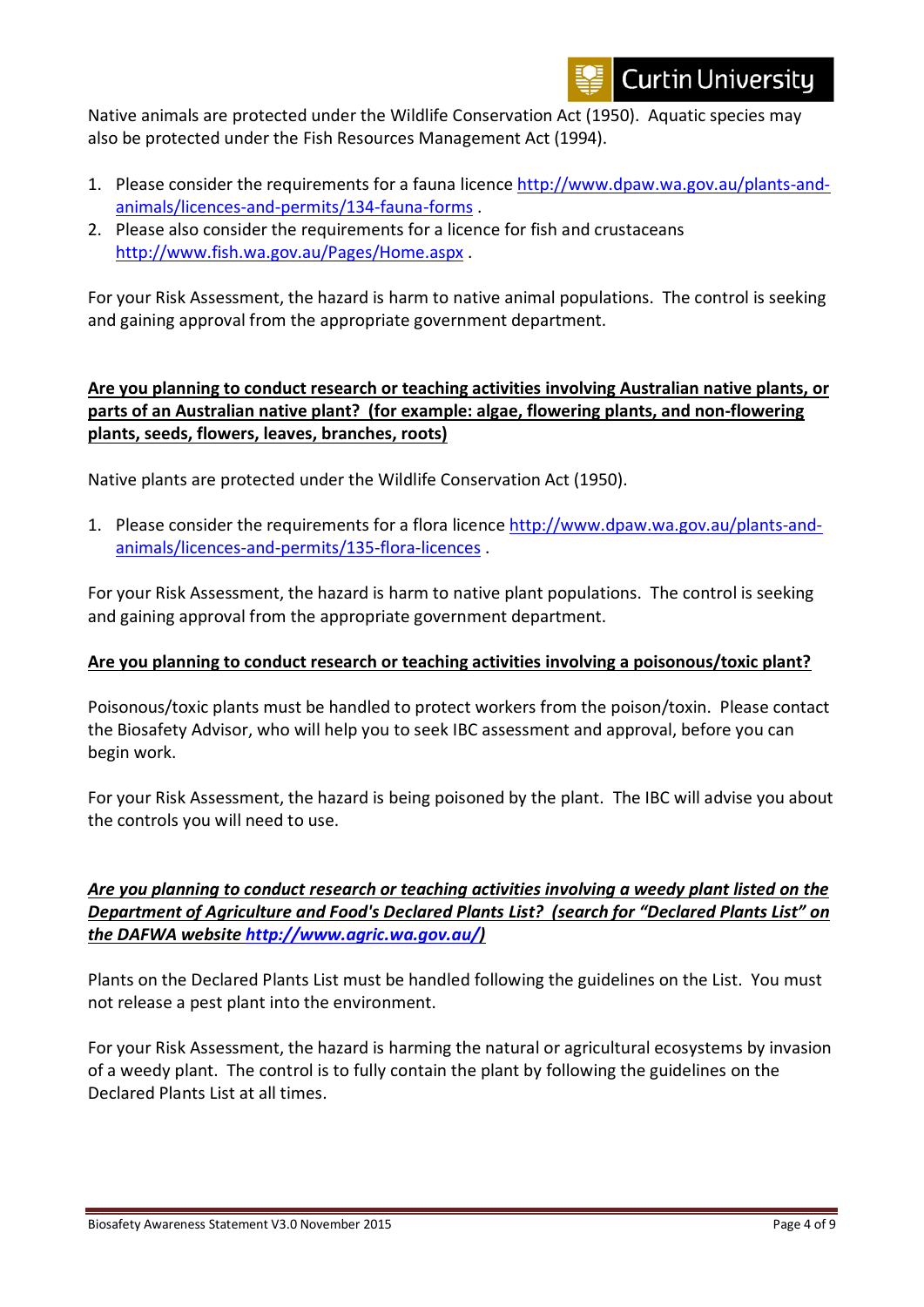

Native animals are protected under the Wildlife Conservation Act (1950). Aquatic species may also be protected under the Fish Resources Management Act (1994).

- 1. Please consider the requirements for a fauna licence [http://www.dpaw.wa.gov.au/plants-and](http://www.dpaw.wa.gov.au/plants-and-animals/licences-and-permits/134-fauna-forms)[animals/licences-and-permits/134-fauna-forms](http://www.dpaw.wa.gov.au/plants-and-animals/licences-and-permits/134-fauna-forms) .
- 2. Please also consider the requirements for a licence for fish and crustaceans <http://www.fish.wa.gov.au/Pages/Home.aspx> .

For your Risk Assessment, the hazard is harm to native animal populations. The control is seeking and gaining approval from the appropriate government department.

## **Are you planning to conduct research or teaching activities involving Australian native plants, or parts of an Australian native plant? (for example: algae, flowering plants, and non-flowering plants, seeds, flowers, leaves, branches, roots)**

Native plants are protected under the Wildlife Conservation Act (1950).

1. Please consider the requirements for a flora licence [http://www.dpaw.wa.gov.au/plants-and](http://www.dpaw.wa.gov.au/plants-and-animals/licences-and-permits/135-flora-licences)[animals/licences-and-permits/135-flora-licences](http://www.dpaw.wa.gov.au/plants-and-animals/licences-and-permits/135-flora-licences) .

For your Risk Assessment, the hazard is harm to native plant populations. The control is seeking and gaining approval from the appropriate government department.

#### **Are you planning to conduct research or teaching activities involving a poisonous/toxic plant?**

Poisonous/toxic plants must be handled to protect workers from the poison/toxin. Please contact the Biosafety Advisor, who will help you to seek IBC assessment and approval, before you can begin work.

For your Risk Assessment, the hazard is being poisoned by the plant. The IBC will advise you about the controls you will need to use.

*Are you planning to conduct research or teaching activities involving a weedy plant listed on the Department of Agriculture and Food's Declared Plants List? (search for "Declared Plants List" on the DAFWA website [http://www.agric.wa.gov.au/\)](http://www.agric.wa.gov.au/)* 

Plants on the Declared Plants List must be handled following the guidelines on the List. You must not release a pest plant into the environment.

For your Risk Assessment, the hazard is harming the natural or agricultural ecosystems by invasion of a weedy plant. The control is to fully contain the plant by following the guidelines on the Declared Plants List at all times.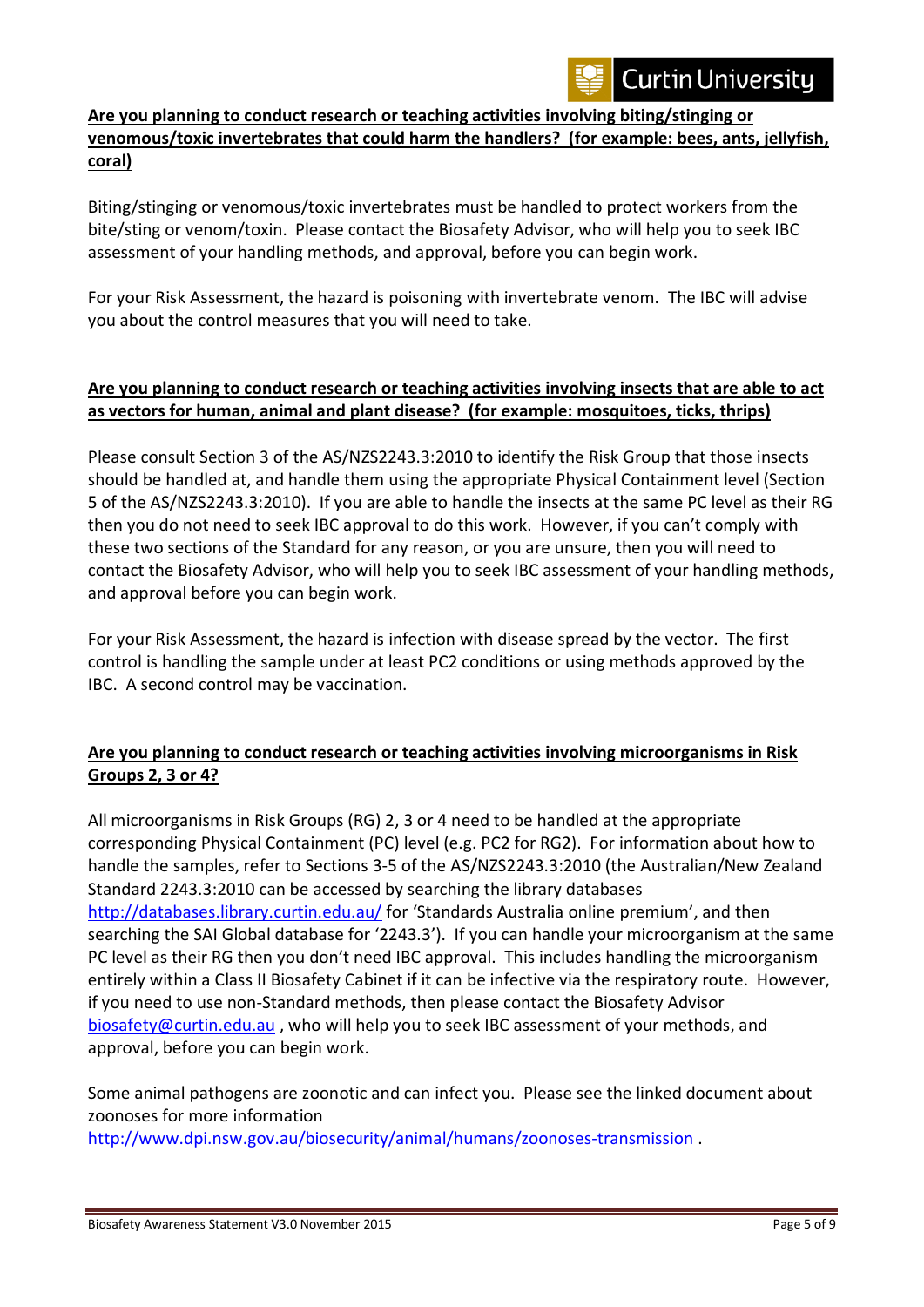

### **Are you planning to conduct research or teaching activities involving biting/stinging or venomous/toxic invertebrates that could harm the handlers? (for example: bees, ants, jellyfish, coral)**

Biting/stinging or venomous/toxic invertebrates must be handled to protect workers from the bite/sting or venom/toxin. Please contact the Biosafety Advisor, who will help you to seek IBC assessment of your handling methods, and approval, before you can begin work.

For your Risk Assessment, the hazard is poisoning with invertebrate venom. The IBC will advise you about the control measures that you will need to take.

#### **Are you planning to conduct research or teaching activities involving insects that are able to act as vectors for human, animal and plant disease? (for example: mosquitoes, ticks, thrips)**

Please consult Section 3 of the AS/NZS2243.3:2010 to identify the Risk Group that those insects should be handled at, and handle them using the appropriate Physical Containment level (Section 5 of the AS/NZS2243.3:2010). If you are able to handle the insects at the same PC level as their RG then you do not need to seek IBC approval to do this work. However, if you can't comply with these two sections of the Standard for any reason, or you are unsure, then you will need to contact the Biosafety Advisor, who will help you to seek IBC assessment of your handling methods, and approval before you can begin work.

For your Risk Assessment, the hazard is infection with disease spread by the vector. The first control is handling the sample under at least PC2 conditions or using methods approved by the IBC. A second control may be vaccination.

## **Are you planning to conduct research or teaching activities involving microorganisms in Risk Groups 2, 3 or 4?**

All microorganisms in Risk Groups (RG) 2, 3 or 4 need to be handled at the appropriate corresponding Physical Containment (PC) level (e.g. PC2 for RG2). For information about how to handle the samples, refer to Sections 3-5 of the AS/NZS2243.3:2010 (the Australian/New Zealand Standard 2243.3:2010 can be accessed by searching the library databases <http://databases.library.curtin.edu.au/> for 'Standards Australia online premium', and then searching the SAI Global database for '2243.3'). If you can handle your microorganism at the same PC level as their RG then you don't need IBC approval. This includes handling the microorganism entirely within a Class II Biosafety Cabinet if it can be infective via the respiratory route. However, if you need to use non-Standard methods, then please contact the Biosafety Advisor [biosafety@curtin.edu.au](mailto:biosafety@curtin.edu.au) , who will help you to seek IBC assessment of your methods, and approval, before you can begin work.

Some animal pathogens are zoonotic and can infect you. Please see the linked document about zoonoses for more information

<http://www.dpi.nsw.gov.au/biosecurity/animal/humans/zoonoses-transmission> .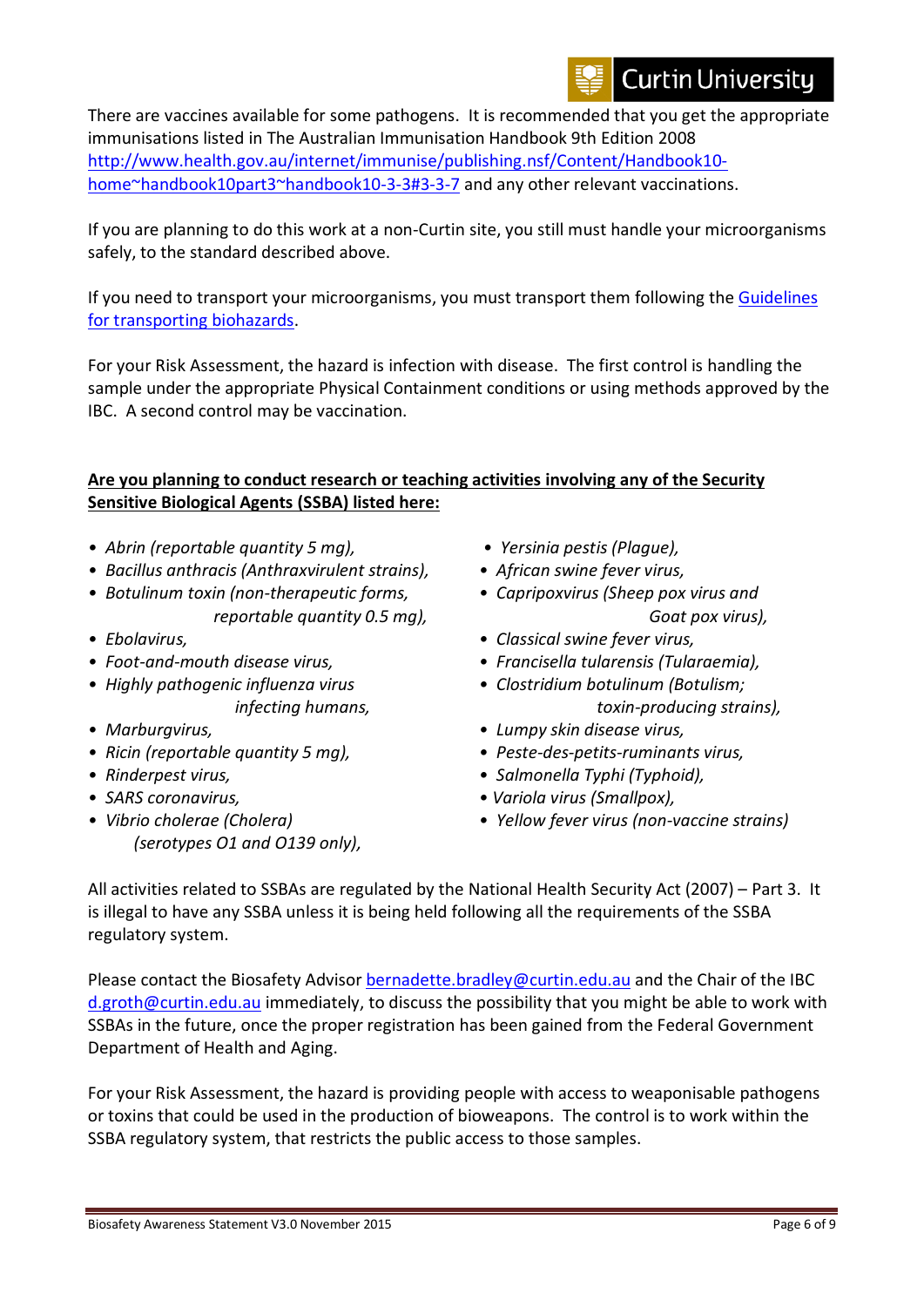# **Curtin University**

There are vaccines available for some pathogens. It is recommended that you get the appropriate immunisations listed in The Australian Immunisation Handbook 9th Edition 2008 [http://www.health.gov.au/internet/immunise/publishing.nsf/Content/Handbook10](http://www.health.gov.au/internet/immunise/publishing.nsf/Content/Handbook10-home%7Ehandbook10part3%7Ehandbook10-3-3#3-3-7) [home~handbook10part3~handbook10-3-3#3-3-7](http://www.health.gov.au/internet/immunise/publishing.nsf/Content/Handbook10-home%7Ehandbook10part3%7Ehandbook10-3-3#3-3-7) and any other relevant vaccinations.

If you are planning to do this work at a non-Curtin site, you still must handle your microorganisms safely, to the standard described above.

If you need to transport your microorganisms, you must transport them following the [Guidelines](http://students.curtin.edu.au/essentials/higher-degree-by-research/ethics-safety/biosafety/transport-storage/)  [for transporting biohazards.](http://students.curtin.edu.au/essentials/higher-degree-by-research/ethics-safety/biosafety/transport-storage/)

For your Risk Assessment, the hazard is infection with disease. The first control is handling the sample under the appropriate Physical Containment conditions or using methods approved by the IBC. A second control may be vaccination.

#### **Are you planning to conduct research or teaching activities involving any of the Security Sensitive Biological Agents (SSBA) listed here:**

- *Abrin (reportable quantity 5 mg), Yersinia pestis (Plague),*
- *Bacillus anthracis (Anthraxvirulent strains), African swine fever virus,* 
	-
- 
- 
- 
- 
- 
- 
- 
- *(serotypes O1 and O139 only),*
- 
- 
- *Botulinum toxin (non-therapeutic forms, Capripoxvirus (Sheep pox virus and reportable quantity 0.5 mg), Goat pox virus),*
- *Ebolavirus, Classical swine fever virus,*
- *Foot-and-mouth disease virus, Francisella tularensis (Tularaemia),*
- *Highly pathogenic influenza virus Clostridium botulinum (Botulism; infecting humans, toxin-producing strains),*
- *Marburgvirus, Lumpy skin disease virus,*
- *Ricin (reportable quantity 5 mg), Peste-des-petits-ruminants virus,*
- *Rinderpest virus, Salmonella Typhi (Typhoid),*
- *SARS coronavirus, Variola virus (Smallpox),*
- *Vibrio cholerae (Cholera) Yellow fever virus (non-vaccine strains)*

All activities related to SSBAs are regulated by the National Health Security Act (2007) – Part 3. It is illegal to have any SSBA unless it is being held following all the requirements of the SSBA regulatory system.

Please contact the Biosafety Advisor [bernadette.bradley@curtin.edu.au](mailto:bernadette.bradley@curtin.edu.au) and the Chair of the IBC [d.groth@curtin.edu.au](mailto:d.groth@curtin.edu.au) immediately, to discuss the possibility that you might be able to work with SSBAs in the future, once the proper registration has been gained from the Federal Government Department of Health and Aging.

For your Risk Assessment, the hazard is providing people with access to weaponisable pathogens or toxins that could be used in the production of bioweapons. The control is to work within the SSBA regulatory system, that restricts the public access to those samples.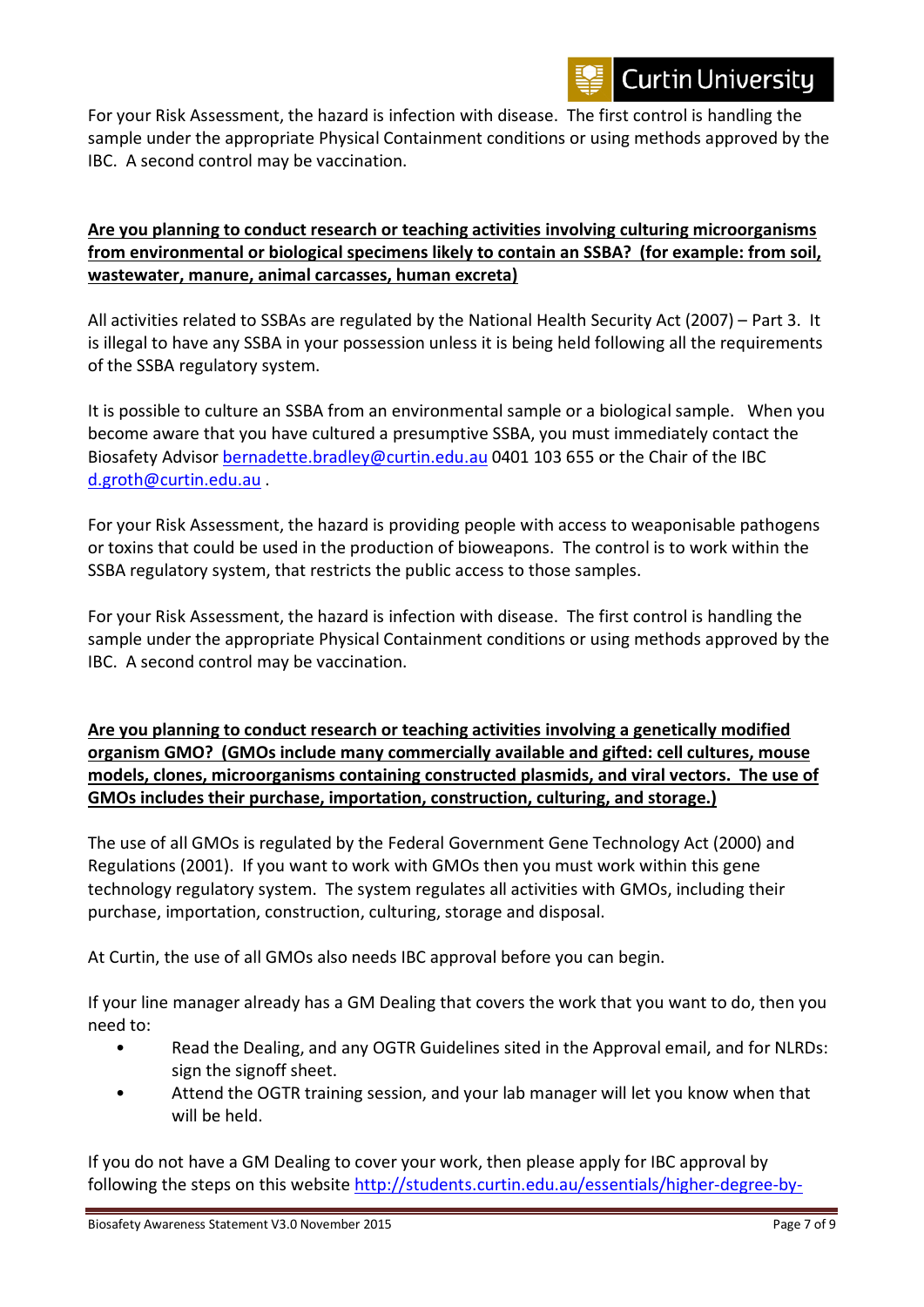For your Risk Assessment, the hazard is infection with disease. The first control is handling the sample under the appropriate Physical Containment conditions or using methods approved by the IBC. A second control may be vaccination.

#### **Are you planning to conduct research or teaching activities involving culturing microorganisms from environmental or biological specimens likely to contain an SSBA? (for example: from soil, wastewater, manure, animal carcasses, human excreta)**

All activities related to SSBAs are regulated by the National Health Security Act (2007) – Part 3. It is illegal to have any SSBA in your possession unless it is being held following all the requirements of the SSBA regulatory system.

It is possible to culture an SSBA from an environmental sample or a biological sample. When you become aware that you have cultured a presumptive SSBA, you must immediately contact the Biosafety Advisor [bernadette.bradley@curtin.edu.au](mailto:bernadette.bradley@curtin.edu.au) 0401 103 655 or the Chair of the IBC [d.groth@curtin.edu.au](mailto:d.groth@curtin.edu.au) .

For your Risk Assessment, the hazard is providing people with access to weaponisable pathogens or toxins that could be used in the production of bioweapons. The control is to work within the SSBA regulatory system, that restricts the public access to those samples.

For your Risk Assessment, the hazard is infection with disease. The first control is handling the sample under the appropriate Physical Containment conditions or using methods approved by the IBC. A second control may be vaccination.

**Are you planning to conduct research or teaching activities involving a genetically modified organism GMO? (GMOs include many commercially available and gifted: cell cultures, mouse models, clones, microorganisms containing constructed plasmids, and viral vectors. The use of GMOs includes their purchase, importation, construction, culturing, and storage.)**

The use of all GMOs is regulated by the Federal Government Gene Technology Act (2000) and Regulations (2001). If you want to work with GMOs then you must work within this gene technology regulatory system. The system regulates all activities with GMOs, including their purchase, importation, construction, culturing, storage and disposal.

At Curtin, the use of all GMOs also needs IBC approval before you can begin.

If your line manager already has a GM Dealing that covers the work that you want to do, then you need to:

- Read the Dealing, and any OGTR Guidelines sited in the Approval email, and for NLRDs: sign the signoff sheet.
- Attend the OGTR training session, and your lab manager will let you know when that will be held.

If you do not have a GM Dealing to cover your work, then please apply for IBC approval by following the steps on this website [http://students.curtin.edu.au/essentials/higher-degree-by-](http://students.curtin.edu.au/essentials/higher-degree-by-research/ethics-safety/biosafety/genetically-modified-organisms/)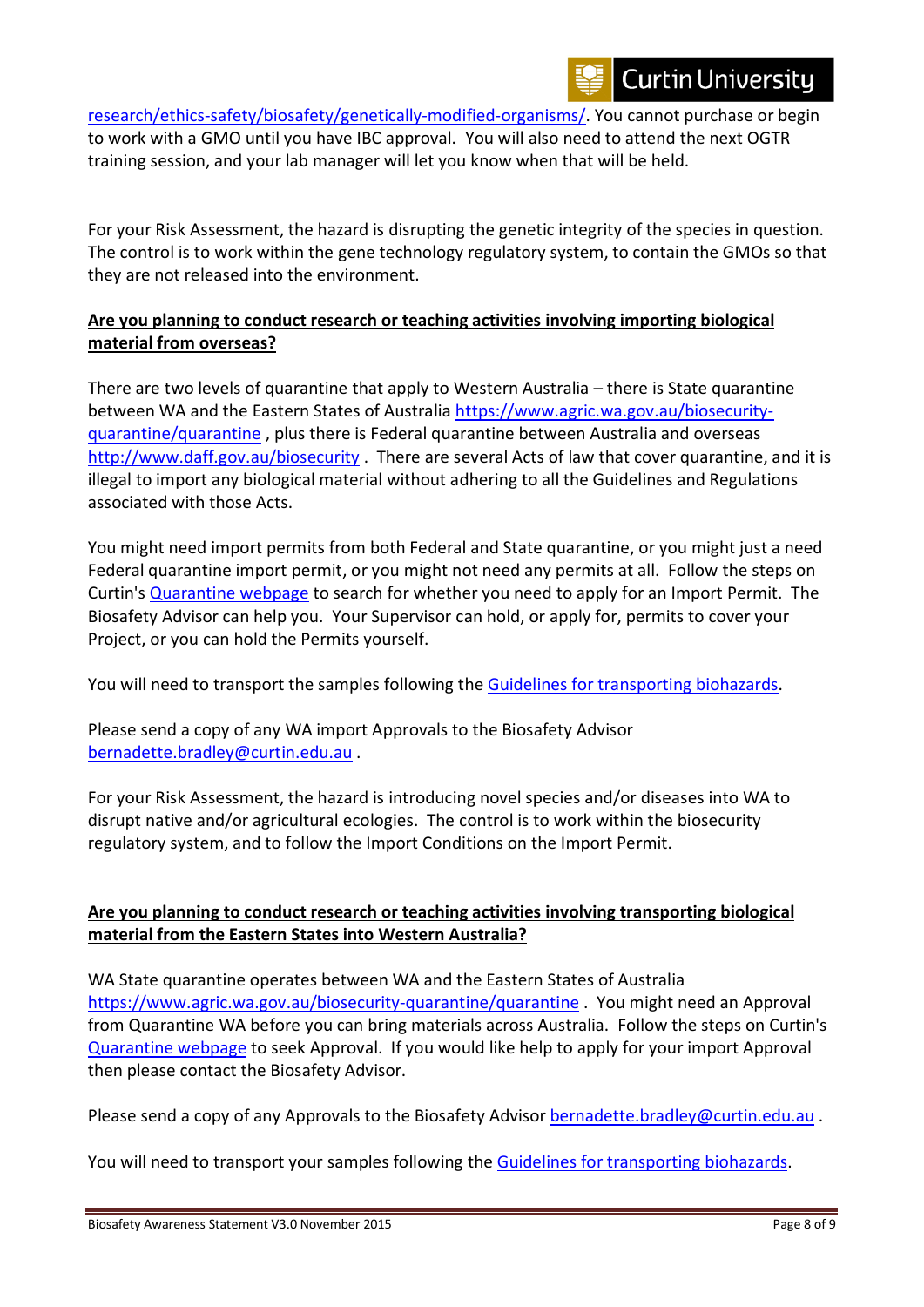[research/ethics-safety/biosafety/genetically-modified-organisms/.](http://students.curtin.edu.au/essentials/higher-degree-by-research/ethics-safety/biosafety/genetically-modified-organisms/) You cannot purchase or begin to work with a GMO until you have IBC approval. You will also need to attend the next OGTR training session, and your lab manager will let you know when that will be held.

For your Risk Assessment, the hazard is disrupting the genetic integrity of the species in question. The control is to work within the gene technology regulatory system, to contain the GMOs so that they are not released into the environment.

#### **Are you planning to conduct research or teaching activities involving importing biological material from overseas?**

There are two levels of quarantine that apply to Western Australia – there is State quarantine between WA and the Eastern States of Australia [https://www.agric.wa.gov.au/biosecurity](https://www.agric.wa.gov.au/biosecurity-quarantine/quarantine)[quarantine/quarantine](https://www.agric.wa.gov.au/biosecurity-quarantine/quarantine) , plus there is Federal quarantine between Australia and overseas <http://www.daff.gov.au/biosecurity> . There are several Acts of law that cover quarantine, and it is illegal to import any biological material without adhering to all the Guidelines and Regulations associated with those Acts.

You might need import permits from both Federal and State quarantine, or you might just a need Federal quarantine import permit, or you might not need any permits at all. Follow the steps on Curtin's [Quarantine webpage](http://students.curtin.edu.au/essentials/higher-degree-by-research/ethics-safety/biosafety/quarantined-materials-biosecurity/) to search for whether you need to apply for an Import Permit. The Biosafety Advisor can help you. Your Supervisor can hold, or apply for, permits to cover your Project, or you can hold the Permits yourself.

You will need to transport the samples following the [Guidelines for transporting biohazards.](http://students.curtin.edu.au/essentials/higher-degree-by-research/ethics-safety/biosafety/transport-storage/)

Please send a copy of any WA import Approvals to the Biosafety Advisor [bernadette.bradley@curtin.edu.au](mailto:bernadette.bradley@curtin.edu.au) .

For your Risk Assessment, the hazard is introducing novel species and/or diseases into WA to disrupt native and/or agricultural ecologies. The control is to work within the biosecurity regulatory system, and to follow the Import Conditions on the Import Permit.

## **Are you planning to conduct research or teaching activities involving transporting biological material from the Eastern States into Western Australia?**

WA State quarantine operates between WA and the Eastern States of Australia <https://www.agric.wa.gov.au/biosecurity-quarantine/quarantine> . You might need an Approval from Quarantine WA before you can bring materials across Australia. Follow the steps on Curtin's [Quarantine webpage](http://students.curtin.edu.au/essentials/higher-degree-by-research/ethics-safety/biosafety/quarantined-materials-biosecurity/) to seek Approval. If you would like help to apply for your import Approval then please contact the Biosafety Advisor.

Please send a copy of any Approvals to the Biosafety Advisor [bernadette.bradley@curtin.edu.au](mailto:bernadette.bradley@curtin.edu.au) .

You will need to transport your samples following the [Guidelines for transporting biohazards.](http://research.curtin.edu.au/research-integrity-ethics/biosafety/transporting-biological-materials/)